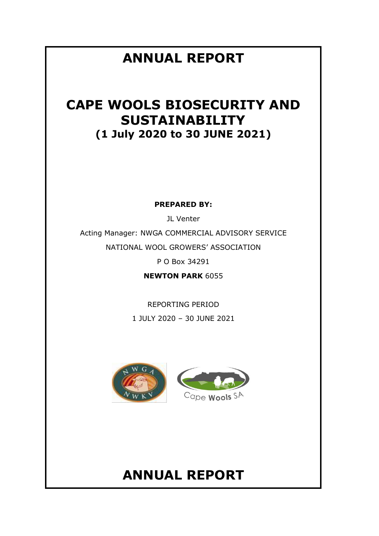# **ANNUAL REPORT**

# **CAPE WOOLS BIOSECURITY AND SUSTAINABILITY (1 July 2020 to 30 JUNE 2021)**

**PREPARED BY:**

JL Venter Acting Manager: NWGA COMMERCIAL ADVISORY SERVICE NATIONAL WOOL GROWERS' ASSOCIATION

P O Box 34291

**NEWTON PARK** 6055

REPORTING PERIOD 1 JULY 2020 – 30 JUNE 2021



### **ANNUAL REPORT**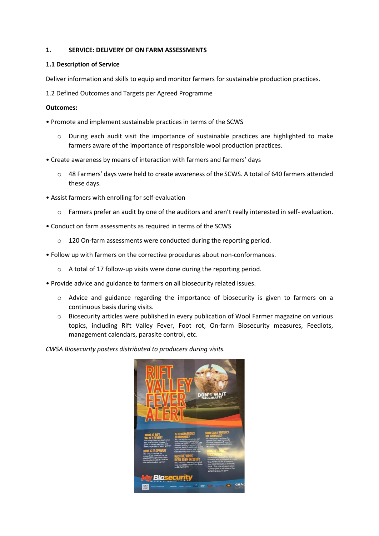#### **1. SERVICE: DELIVERY OF ON FARM ASSESSMENTS**

#### **1.1 Description of Service**

Deliver information and skills to equip and monitor farmers for sustainable production practices.

1.2 Defined Outcomes and Targets per Agreed Programme

#### **Outcomes:**

- Promote and implement sustainable practices in terms of the SCWS
	- o During each audit visit the importance of sustainable practices are highlighted to make farmers aware of the importance of responsible wool production practices.
- Create awareness by means of interaction with farmers and farmers' days
	- o 48 Farmers' days were held to create awareness of the SCWS. A total of 640 farmers attended these days.
- Assist farmers with enrolling for self-evaluation
	- Farmers prefer an audit by one of the auditors and aren't really interested in self- evaluation.
- Conduct on farm assessments as required in terms of the SCWS
	- o 120 On-farm assessments were conducted during the reporting period.
- Follow up with farmers on the corrective procedures about non-conformances.
	- o A total of 17 follow-up visits were done during the reporting period.
- Provide advice and guidance to farmers on all biosecurity related issues.
	- o Advice and guidance regarding the importance of biosecurity is given to farmers on a continuous basis during visits.
	- $\circ$  Biosecurity articles were published in every publication of Wool Farmer magazine on various topics, including Rift Valley Fever, Foot rot, On-farm Biosecurity measures, Feedlots, management calendars, parasite control, etc.

*CWSA Biosecurity posters distributed to producers during visits.*

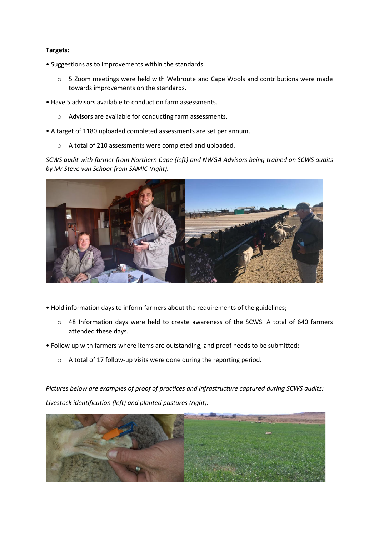#### **Targets:**

- Suggestions as to improvements within the standards.
	- o 5 Zoom meetings were held with Webroute and Cape Wools and contributions were made towards improvements on the standards.
- Have 5 advisors available to conduct on farm assessments.
	- o Advisors are available for conducting farm assessments.
- A target of 1180 uploaded completed assessments are set per annum.
	- o A total of 210 assessments were completed and uploaded.

*SCWS audit with farmer from Northern Cape (left) and NWGA Advisors being trained on SCWS audits by Mr Steve van Schoor from SAMIC (right).*



- Hold information days to inform farmers about the requirements of the guidelines;
	- $\circ$  48 Information days were held to create awareness of the SCWS. A total of 640 farmers attended these days.
- Follow up with farmers where items are outstanding, and proof needs to be submitted;
	- o A total of 17 follow-up visits were done during the reporting period.

*Pictures below are examples of proof of practices and infrastructure captured during SCWS audits: Livestock identification (left) and planted pastures (right).*

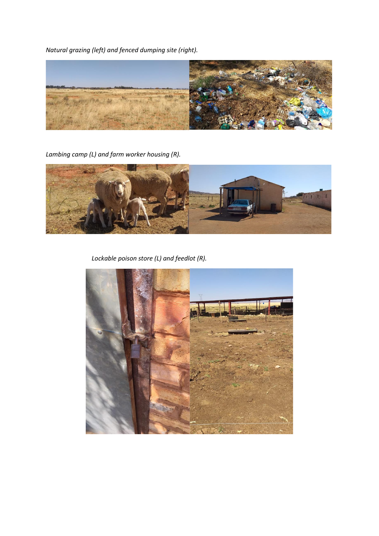*Natural grazing (left) and fenced dumping site (right).*



*Lambing camp (L) and farm worker housing (R).*



*Lockable poison store (L) and feedlot (R).*

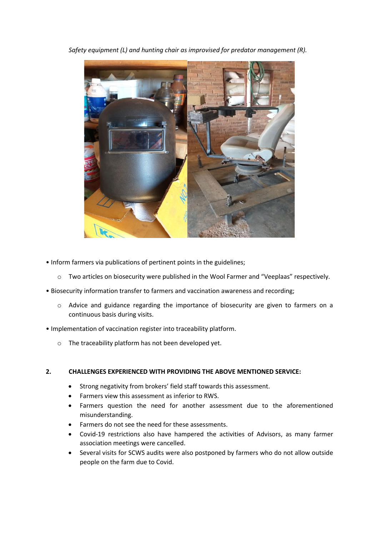*Safety equipment (L) and hunting chair as improvised for predator management (R).*



- Inform farmers via publications of pertinent points in the guidelines;
	- o Two articles on biosecurity were published in the Wool Farmer and "Veeplaas" respectively.
- Biosecurity information transfer to farmers and vaccination awareness and recording;
	- $\circ$  Advice and guidance regarding the importance of biosecurity are given to farmers on a continuous basis during visits.
- Implementation of vaccination register into traceability platform.
	- o The traceability platform has not been developed yet.

#### **2. CHALLENGES EXPERIENCED WITH PROVIDING THE ABOVE MENTIONED SERVICE:**

- Strong negativity from brokers' field staff towards this assessment.
- Farmers view this assessment as inferior to RWS.
- Farmers question the need for another assessment due to the aforementioned misunderstanding.
- Farmers do not see the need for these assessments.
- Covid-19 restrictions also have hampered the activities of Advisors, as many farmer association meetings were cancelled.
- Several visits for SCWS audits were also postponed by farmers who do not allow outside people on the farm due to Covid.